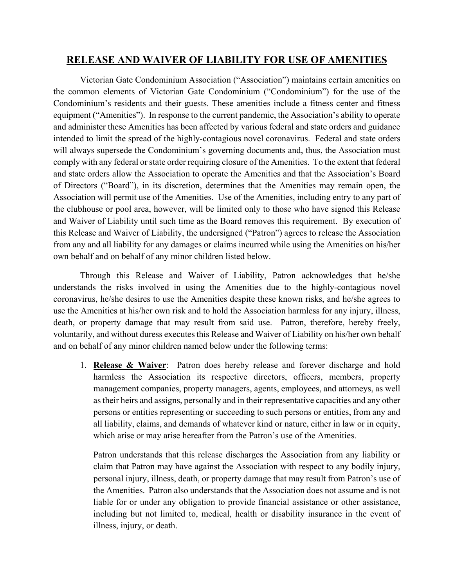## **RELEASE AND WAIVER OF LIABILITY FOR USE OF AMENITIES**

Victorian Gate Condominium Association ("Association") maintains certain amenities on the common elements of Victorian Gate Condominium ("Condominium") for the use of the Condominium's residents and their guests. These amenities include a fitness center and fitness equipment ("Amenities"). In response to the current pandemic, the Association's ability to operate and administer these Amenities has been affected by various federal and state orders and guidance intended to limit the spread of the highly-contagious novel coronavirus. Federal and state orders will always supersede the Condominium's governing documents and, thus, the Association must comply with any federal or state order requiring closure of the Amenities. To the extent that federal and state orders allow the Association to operate the Amenities and that the Association's Board of Directors ("Board"), in its discretion, determines that the Amenities may remain open, the Association will permit use of the Amenities. Use of the Amenities, including entry to any part of the clubhouse or pool area, however, will be limited only to those who have signed this Release and Waiver of Liability until such time as the Board removes this requirement. By execution of this Release and Waiver of Liability, the undersigned ("Patron") agrees to release the Association from any and all liability for any damages or claims incurred while using the Amenities on his/her own behalf and on behalf of any minor children listed below.

Through this Release and Waiver of Liability, Patron acknowledges that he/she understands the risks involved in using the Amenities due to the highly-contagious novel coronavirus, he/she desires to use the Amenities despite these known risks, and he/she agrees to use the Amenities at his/her own risk and to hold the Association harmless for any injury, illness, death, or property damage that may result from said use. Patron, therefore, hereby freely, voluntarily, and without duress executes this Release and Waiver of Liability on his/her own behalf and on behalf of any minor children named below under the following terms:

1. **Release & Waiver**: Patron does hereby release and forever discharge and hold harmless the Association its respective directors, officers, members, property management companies, property managers, agents, employees, and attorneys, as well as their heirs and assigns, personally and in their representative capacities and any other persons or entities representing or succeeding to such persons or entities, from any and all liability, claims, and demands of whatever kind or nature, either in law or in equity, which arise or may arise hereafter from the Patron's use of the Amenities.

Patron understands that this release discharges the Association from any liability or claim that Patron may have against the Association with respect to any bodily injury, personal injury, illness, death, or property damage that may result from Patron's use of the Amenities. Patron also understands that the Association does not assume and is not liable for or under any obligation to provide financial assistance or other assistance, including but not limited to, medical, health or disability insurance in the event of illness, injury, or death.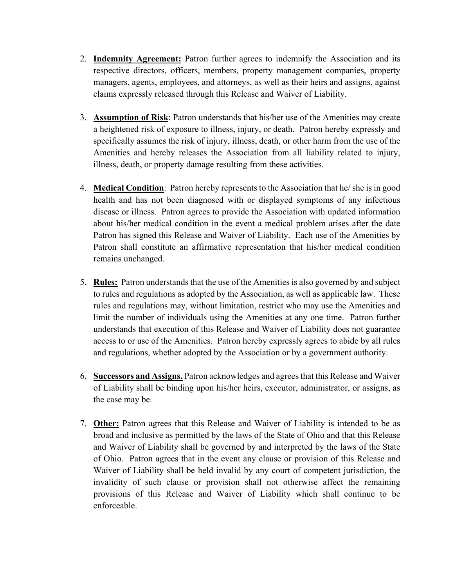- 2. **Indemnity Agreement:** Patron further agrees to indemnify the Association and its respective directors, officers, members, property management companies, property managers, agents, employees, and attorneys, as well as their heirs and assigns, against claims expressly released through this Release and Waiver of Liability.
- 3. **Assumption of Risk**: Patron understands that his/her use of the Amenities may create a heightened risk of exposure to illness, injury, or death. Patron hereby expressly and specifically assumes the risk of injury, illness, death, or other harm from the use of the Amenities and hereby releases the Association from all liability related to injury, illness, death, or property damage resulting from these activities.
- 4. **Medical Condition**: Patron hereby represents to the Association that he/ she is in good health and has not been diagnosed with or displayed symptoms of any infectious disease or illness. Patron agrees to provide the Association with updated information about his/her medical condition in the event a medical problem arises after the date Patron has signed this Release and Waiver of Liability. Each use of the Amenities by Patron shall constitute an affirmative representation that his/her medical condition remains unchanged.
- 5. **Rules:** Patron understands that the use of the Amenities is also governed by and subject to rules and regulations as adopted by the Association, as well as applicable law. These rules and regulations may, without limitation, restrict who may use the Amenities and limit the number of individuals using the Amenities at any one time. Patron further understands that execution of this Release and Waiver of Liability does not guarantee access to or use of the Amenities. Patron hereby expressly agrees to abide by all rules and regulations, whether adopted by the Association or by a government authority.
- 6. **Successors and Assigns.** Patron acknowledges and agrees that this Release and Waiver of Liability shall be binding upon his/her heirs, executor, administrator, or assigns, as the case may be.
- 7. **Other:** Patron agrees that this Release and Waiver of Liability is intended to be as broad and inclusive as permitted by the laws of the State of Ohio and that this Release and Waiver of Liability shall be governed by and interpreted by the laws of the State of Ohio. Patron agrees that in the event any clause or provision of this Release and Waiver of Liability shall be held invalid by any court of competent jurisdiction, the invalidity of such clause or provision shall not otherwise affect the remaining provisions of this Release and Waiver of Liability which shall continue to be enforceable.